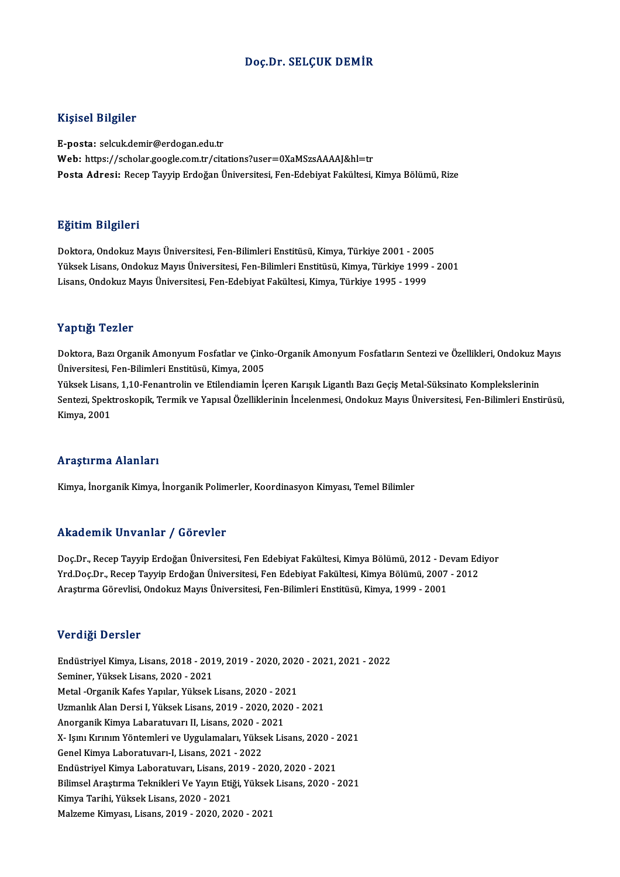### Doç.Dr. SELÇUK DEMİR

#### Kişisel Bilgiler

E-posta: selcuk.demir@erdogan.edu.tr Web: https://scholar.google.com.tr/citations?user=0XaMSzsAAAAJ&hl=tr Posta Adresi: Recep Tayyip Erdoğan Üniversitesi, Fen-Edebiyat Fakültesi, Kimya Bölümü, Rize

#### Eğitim Bilgileri

Doktora,OndokuzMayısÜniversitesi,Fen-BilimleriEnstitüsü,Kimya,Türkiye 2001 -2005 23.<br>1998- Doktora, Ondokuz Mayıs Üniversitesi, Fen-Bilimleri Enstitüsü, Kimya, Türkiye 2001 - 2005<br>Yüksek Lisans, Ondokuz Mayıs Üniversitesi, Fen-Bilimleri Enstitüsü, Kimya, Türkiye 1999 - 2001<br>Lisans, Ondolauz Mayıs Ünive Doktora, Ondokuz Mayıs Üniversitesi, Fen-Bilimleri Enstitüsü, Kimya, Türkiye 2001 - 200<br>Yüksek Lisans, Ondokuz Mayıs Üniversitesi, Fen-Bilimleri Enstitüsü, Kimya, Türkiye 1999<br>Lisans, Ondokuz Mayıs Üniversitesi, Fen-Edebiy Lisans, Ondokuz Mayıs Üniversitesi, Fen-Edebiyat Fakültesi, Kimya, Türkiye 1995 - 1999<br>Yaptığı Tezler

Yaptığı Tezler<br>Doktora, Bazı Organik Amonyum Fosfatlar ve Çinko-Organik Amonyum Fosfatların Sentezi ve Özellikleri, Ondokuz Mayıs<br>Üniversitesi Fen Bilimleri Enstitüsü, Kimya, 2005 Üniversitesi, Fen-Bilimleri Enstitüsü, Kimya, 2005 Doktora, Bazı Organik Amonyum Fosfatlar ve Çinko-Organik Amonyum Fosfatların Sentezi ve Özellikleri, Ondokuz M<br>Üniversitesi, Fen-Bilimleri Enstitüsü, Kimya, 2005<br>Yüksek Lisans, 1,10-Fenantrolin ve Etilendiamin İçeren Karış

Sentezi, Spektroskopik, Termik ve Yapısal Özelliklerinin İncelenmesi, Ondokuz Mayıs Üniversitesi, Fen-Bilimleri Enstirüsü,<br>Kimya, 2001 Yüksek Lisans, 1,10-Fenantrolin ve Etilendiamin İçeren Karışık Ligantlı Bazı Geçiş Metal-Süksinato Komplekslerinin

#### Araştırma Alanları

Kimya, İnorganik Kimya, İnorganik Polimerler, Koordinasyon Kimyası, Temel Bilimler

### Akademik Unvanlar / Görevler

Akademik Unvanlar / Görevler<br>Doç.Dr., Recep Tayyip Erdoğan Üniversitesi, Fen Edebiyat Fakültesi, Kimya Bölümü, 2012 - Devam Ediyor<br>Yrd Dos Dr., Besen Tayyip Erdoğan Üniversitesi, Fen Edebiyat Fakültesi, Kimya Bölümü, 2007, Yrkuu Chrik "Girvuniar" / "Gör Cvici"<br>Doç.Dr., Recep Tayyip Erdoğan Üniversitesi, Fen Edebiyat Fakültesi, Kimya Bölümü, 2012 - Devam Ed<br>Yrd.Doç.Dr., Recep Tayyip Erdoğan Üniversitesi, Fen Edebiyat Fakültesi, Kimya Bölümü, Doç.Dr., Recep Tayyip Erdoğan Üniversitesi, Fen Edebiyat Fakültesi, Kimya Bölümü, 2012 - De<br>Yrd.Doç.Dr., Recep Tayyip Erdoğan Üniversitesi, Fen Edebiyat Fakültesi, Kimya Bölümü, 2007<br>Araştırma Görevlisi, Ondokuz Mayıs Üniv Araştırma Görevlisi, Ondokuz Mayıs Üniversitesi, Fen-Bilimleri Enstitüsü, Kimya, 1999 - 2001<br>Verdiği Dersler

Verdiği Dersler<br>Endüstriyel Kimya, Lisans, 2018 - 2019, 2019 - 2020, 2020 - 2021, 2021 - 2022<br>Seminer Yüksek Lisans, 2020, 2021 Seminer, Yüksek Lisans, 2020 - 2021<br>Metal -Organik Kafes Yapılar, Yüksek Lisans, 2020 - 2021 Endüstriyel Kimya, Lisans, 2018 - 2019, 2019 - 2020, 2021<br>Seminer, Yüksek Lisans, 2020 - 2021<br>Metal -Organik Kafes Yapılar, Yüksek Lisans, 2020 - 2021<br>Uzmanlık Alan Dersi I. Yüksek Lisans, 2019, 2020, 2020 UzmanlıkAlanDersi I,YüksekLisans,2019 -2020,2020 -2021 Metal -Organik Kafes Yapılar, Yüksek Lisans, 2020 - 20<br>Uzmanlık Alan Dersi I, Yüksek Lisans, 2019 - 2020, 202<br>Anorganik Kimya Labaratuvarı II, Lisans, 2020 - 2021<br>X. Jemi Kimpin Vöntemleri ve Uizulamaları, Yüksek Lis X- Işını Kırınım Yöntemleri ve Uygulamaları, Yüksek Lisans, 2020 - 2021<br>Genel Kimya Laboratuvarı-I, Lisans, 2021 - 2022 Anorganik Kimya Labaratuvarı II, Lisans, 2020 - 2<br>X- Işını Kırınım Yöntemleri ve Uygulamaları, Yükse<br>Genel Kimya Laboratuvarı-I, Lisans, 2021 - 2022<br>Endüstrivel Kimya Laboratuvaru Lisans, 2019, 22 X- Işını Kırınım Yöntemleri ve Uygulamaları, Yüksek Lisans, 2020 - 2<br>Genel Kimya Laboratuvarı-I, Lisans, 2021 - 2022<br>Endüstriyel Kimya Laboratuvarı, Lisans, 2019 - 2020, 2020 - 2021<br>Bilimsel Arsetume Telmikleri Ve Yeun Eti Genel Kimya Laboratuvarı-I, Lisans, 2021 - 2022<br>Endüstriyel Kimya Laboratuvarı, Lisans, 2019 - 2020, 2020 - 2021<br>Bilimsel Araştırma Teknikleri Ve Yayın Etiği, Yüksek Lisans, 2020 - 2021<br>Kimya Tarihi, Vülgek Lisans, 2020, . Endüstriyel Kimya Laboratuvarı, Lisans, 2<br>Bilimsel Araştırma Teknikleri Ve Yayın Etiğ<br>Kimya Tarihi, Yüksek Lisans, 2020 - 2021<br>Malzama Kimyası, Lisans, 2019, -2020, 203 Bilimsel Araştırma Teknikleri Ve Yayın Etiği, Yüksek Lisans, 2020 - 2021<br>Kimya Tarihi, Yüksek Lisans, 2020 - 2021<br>Malzeme Kimyası, Lisans, 2019 - 2020, 2020 - 2021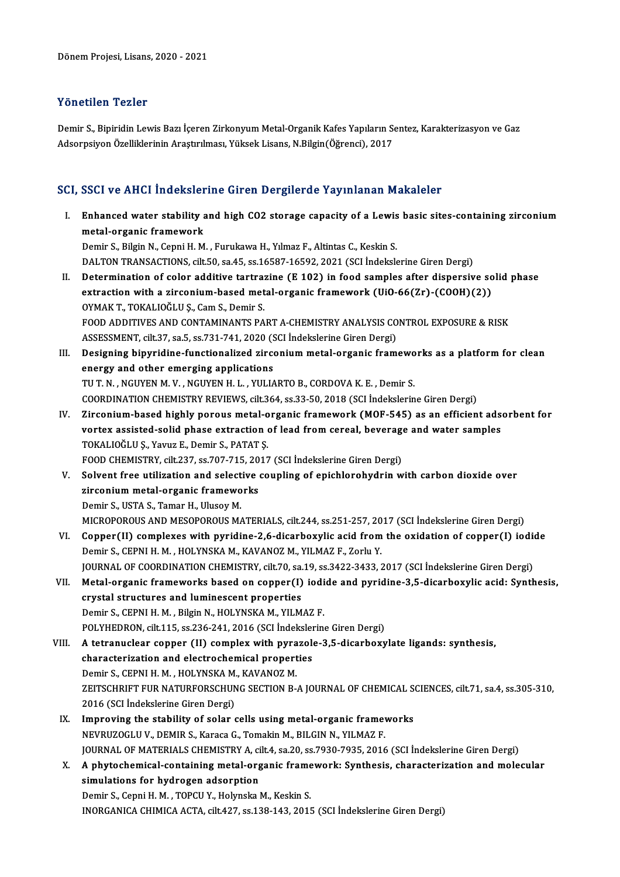## Yönetilen Tezler

Yönetilen Tezler<br>Demir S., Bipiridin Lewis Bazı İçeren Zirkonyum Metal-Organik Kafes Yapıların Sentez, Karakterizasyon ve Gaz<br>Adsernsiyan Örelliklerinin Arastırılması, Yüksek Lisans, N.Bilgin(Öğrensi), 2017 1 SASSASAT 1 SASS.<br>Demir S., Bipiridin Lewis Bazı İçeren Zirkonyum Metal-Organik Kafes Yapıların S.<br>Adsorpsiyon Özelliklerinin Araştırılması, Yüksek Lisans, N.Bilgin(Öğrenci), 2017

# Adsorpsiyon Ozelliklerinin Araşurliması, ruksek Lisans, N.Bilgin(Ogrenci), 2017<br>SCI, SSCI ve AHCI İndekslerine Giren Dergilerde Yayınlanan Makaleler

|      | SCI, SSCI ve AHCI İndekslerine Giren Dergilerde Yayınlanan Makaleler                                                          |
|------|-------------------------------------------------------------------------------------------------------------------------------|
| L    | Enhanced water stability and high CO2 storage capacity of a Lewis basic sites-containing zirconium<br>metal-organic framework |
|      | Demir S., Bilgin N., Cepni H. M., Furukawa H., Yılmaz F., Altintas C., Keskin S.                                              |
|      | DALTON TRANSACTIONS, cilt.50, sa.45, ss.16587-16592, 2021 (SCI Indekslerine Giren Dergi)                                      |
| П.   | Determination of color additive tartrazine (E 102) in food samples after dispersive solid phase                               |
|      | extraction with a zirconium-based metal-organic framework (UiO-66(Zr)-(COOH)(2))<br>OYMAK T., TOKALIOĞLU Ş., Cam S., Demir S. |
|      | FOOD ADDITIVES AND CONTAMINANTS PART A-CHEMISTRY ANALYSIS CONTROL EXPOSURE & RISK                                             |
|      | ASSESSMENT, cilt.37, sa.5, ss.731-741, 2020 (SCI Indekslerine Giren Dergi)                                                    |
| Ш.   | Designing bipyridine-functionalized zirconium metal-organic frameworks as a platform for clean                                |
|      | energy and other emerging applications                                                                                        |
|      | TU T. N., NGUYEN M. V., NGUYEN H. L., YULIARTO B., CORDOVA K. E., Demir S.                                                    |
|      | COORDINATION CHEMISTRY REVIEWS, cilt.364, ss.33-50, 2018 (SCI Indekslerine Giren Dergi)                                       |
| IV.  | Zirconium-based highly porous metal-organic framework (MOF-545) as an efficient adsorbent for                                 |
|      | vortex assisted-solid phase extraction of lead from cereal, beverage and water samples                                        |
|      | TOKALIOĞLU Ş., Yavuz E., Demir S., PATAT Ş.                                                                                   |
|      | FOOD CHEMISTRY, cilt.237, ss.707-715, 2017 (SCI İndekslerine Giren Dergi)                                                     |
| V.   | Solvent free utilization and selective coupling of epichlorohydrin with carbon dioxide over                                   |
|      | zirconium metal-organic frameworks                                                                                            |
|      | Demir S., USTA S., Tamar H., Ulusoy M.                                                                                        |
|      | MICROPOROUS AND MESOPOROUS MATERIALS, cilt.244, ss.251-257, 2017 (SCI Indekslerine Giren Dergi)                               |
| VI.  | Copper(II) complexes with pyridine-2,6-dicarboxylic acid from the oxidation of copper(I) iodide                               |
|      | Demir S., CEPNI H. M., HOLYNSKA M., KAVANOZ M., YILMAZ F., Zorlu Y.                                                           |
|      | JOURNAL OF COORDINATION CHEMISTRY, cilt70, sa.19, ss.3422-3433, 2017 (SCI İndekslerine Giren Dergi)                           |
| VII. | Metal-organic frameworks based on copper(I) iodide and pyridine-3,5-dicarboxylic acid: Synthesis,                             |
|      | crystal structures and luminescent properties                                                                                 |
|      | Demir S., CEPNI H. M., Bilgin N., HOLYNSKA M., YILMAZ F.                                                                      |
|      | POLYHEDRON, cilt.115, ss.236-241, 2016 (SCI İndekslerine Giren Dergi)                                                         |
|      | VIII. A tetranuclear copper (II) complex with pyrazole-3,5-dicarboxylate ligands: synthesis,                                  |
|      | characterization and electrochemical properties                                                                               |
|      | Demir S., CEPNI H. M., HOLYNSKA M., KAVANOZ M.                                                                                |
|      | ZEITSCHRIFT FUR NATURFORSCHUNG SECTION B-A JOURNAL OF CHEMICAL SCIENCES, cilt.71, sa.4, ss.305-310,                           |
|      | 2016 (SCI İndekslerine Giren Dergi)                                                                                           |
| IX.  | Improving the stability of solar cells using metal-organic frameworks                                                         |
|      | NEVRUZOGLU V., DEMIR S., Karaca G., Tomakin M., BILGIN N., YILMAZ F.                                                          |
|      | JOURNAL OF MATERIALS CHEMISTRY A, cilt.4, sa.20, ss.7930-7935, 2016 (SCI İndekslerine Giren Dergi)                            |
| X.   | A phytochemical-containing metal-organic framework: Synthesis, characterization and molecular                                 |
|      | simulations for hydrogen adsorption                                                                                           |
|      | Demir S., Cepni H. M., TOPCU Y., Holynska M., Keskin S.                                                                       |
|      | INORGANICA CHIMICA ACTA, cilt.427, ss.138-143, 2015 (SCI Indekslerine Giren Dergi)                                            |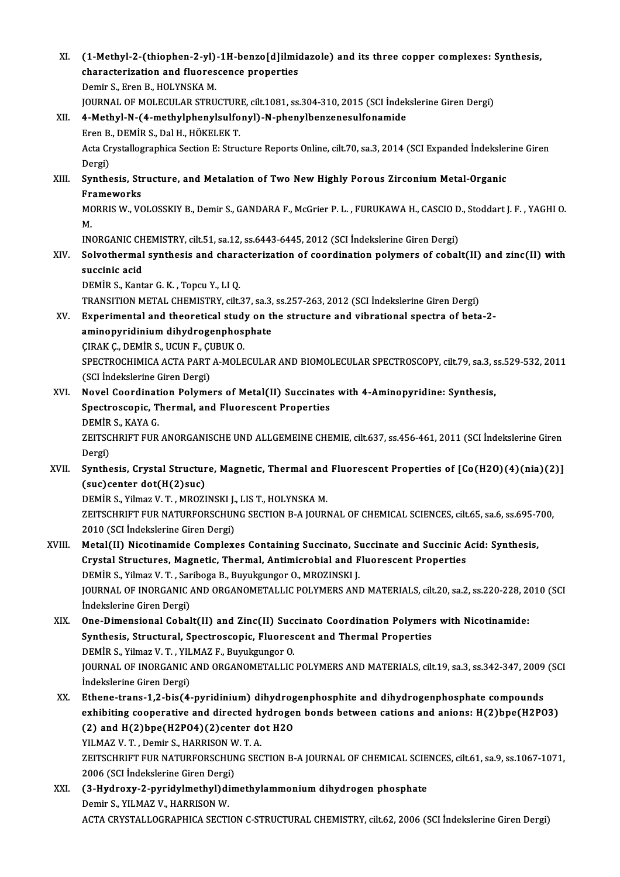| XI.    | (1-Methyl-2-(thiophen-2-yl)-1H-benzo[d]ilmidazole) and its three copper complexes: Synthesis,<br>characterization and fluorescence properties<br>Demir S., Eren B., HOLYNSKA M. |
|--------|---------------------------------------------------------------------------------------------------------------------------------------------------------------------------------|
|        | JOURNAL OF MOLECULAR STRUCTURE, cilt.1081, ss.304-310, 2015 (SCI Indekslerine Giren Dergi)                                                                                      |
| XII.   | 4-Methyl-N-(4-methylphenylsulfonyl)-N-phenylbenzenesulfonamide                                                                                                                  |
|        | Eren B., DEMİR S., Dal H., HÖKELEK T.                                                                                                                                           |
|        | Acta Crystallographica Section E: Structure Reports Online, cilt.70, sa.3, 2014 (SCI Expanded İndekslerine Giren                                                                |
|        | Dergi)                                                                                                                                                                          |
| XIII.  | Synthesis, Structure, and Metalation of Two New Highly Porous Zirconium Metal-Organic                                                                                           |
|        | Frameworks                                                                                                                                                                      |
|        | MORRIS W., VOLOSSKIY B., Demir S., GANDARA F., McGrier P. L., FURUKAWA H., CASCIO D., Stoddart J. F., YAGHI O.                                                                  |
|        | M.                                                                                                                                                                              |
|        | INORGANIC CHEMISTRY, cilt 51, sa 12, ss.6443-6445, 2012 (SCI Indekslerine Giren Dergi)                                                                                          |
| XIV.   | Solvothermal synthesis and characterization of coordination polymers of cobalt(II) and zinc(II) with                                                                            |
|        | succinic acid                                                                                                                                                                   |
|        | DEMIR S., Kantar G. K., Topcu Y., LI Q.                                                                                                                                         |
|        | TRANSITION METAL CHEMISTRY, cilt.37, sa.3, ss.257-263, 2012 (SCI Indekslerine Giren Dergi)                                                                                      |
| XV.    | Experimental and theoretical study on the structure and vibrational spectra of beta-2-                                                                                          |
|        | aminopyridinium dihydrogenphosphate                                                                                                                                             |
|        | ÇIRAK Ç., DEMİR S., UCUN F., ÇUBUK O.                                                                                                                                           |
|        | SPECTROCHIMICA ACTA PART A-MOLECULAR AND BIOMOLECULAR SPECTROSCOPY, cilt.79, sa.3, ss.529-532, 2011                                                                             |
|        | (SCI İndekslerine Giren Dergi)                                                                                                                                                  |
| XVI.   | Novel Coordination Polymers of Metal(II) Succinates with 4-Aminopyridine: Synthesis,                                                                                            |
|        | Spectroscopic, Thermal, and Fluorescent Properties                                                                                                                              |
|        | DEMİR S., KAYA G.                                                                                                                                                               |
|        | ZEITSCHRIFT FUR ANORGANISCHE UND ALLGEMEINE CHEMIE, cilt.637, ss.456-461, 2011 (SCI İndekslerine Giren                                                                          |
|        | Dergi)                                                                                                                                                                          |
| XVII.  | Synthesis, Crystal Structure, Magnetic, Thermal and Fluorescent Properties of [Co(H2O)(4)(nia)(2)]                                                                              |
|        | $(suc)$ center dot $(H(2)suc)$                                                                                                                                                  |
|        | DEMİR S., Yilmaz V. T., MROZINSKI J., LIS T., HOLYNSKA M.                                                                                                                       |
|        | ZEITSCHRIFT FUR NATURFORSCHUNG SECTION B-A JOURNAL OF CHEMICAL SCIENCES, cilt.65, sa.6, ss.695-700,                                                                             |
|        | 2010 (SCI İndekslerine Giren Dergi)                                                                                                                                             |
| XVIII. | Metal(II) Nicotinamide Complexes Containing Succinato, Succinate and Succinic Acid: Synthesis,                                                                                  |
|        | Crystal Structures, Magnetic, Thermal, Antimicrobial and Fluorescent Properties                                                                                                 |
|        | DEMİR S., Yilmaz V. T., Sariboga B., Buyukgungor O., MROZINSKI J.                                                                                                               |
|        | JOURNAL OF INORGANIC AND ORGANOMETALLIC POLYMERS AND MATERIALS, cilt.20, sa.2, ss.220-228, 2010 (SCI                                                                            |
|        | Indekslerine Giren Dergi)                                                                                                                                                       |
| XIX.   | One-Dimensional Cobalt(II) and Zinc(II) Succinato Coordination Polymers with Nicotinamide:                                                                                      |
|        | Synthesis, Structural, Spectroscopic, Fluorescent and Thermal Properties                                                                                                        |
|        | DEMIR S., Yilmaz V. T., YILMAZ F., Buyukgungor O.                                                                                                                               |
|        | JOURNAL OF INORGANIC AND ORGANOMETALLIC POLYMERS AND MATERIALS, cilt.19, sa.3, ss.342-347, 2009 (SCI                                                                            |
|        | İndekslerine Giren Dergi)                                                                                                                                                       |
| XX.    | Ethene-trans-1,2-bis(4-pyridinium) dihydrogenphosphite and dihydrogenphosphate compounds                                                                                        |
|        | exhibiting cooperative and directed hydrogen bonds between cations and anions: H(2)bpe(H2PO3)                                                                                   |
|        | (2) and H(2)bpe(H2PO4)(2)center dot H2O                                                                                                                                         |
|        | YILMAZ V. T., Demir S., HARRISON W. T. A.<br>ZEITSCHRIFT FUR NATURFORSCHUNG SECTION B-A JOURNAL OF CHEMICAL SCIENCES, cilt.61, sa.9, ss.1067-1071,                              |
|        | 2006 (SCI İndekslerine Giren Dergi)                                                                                                                                             |
| XXI.   | (3-Hydroxy-2-pyridylmethyl)dimethylammonium dihydrogen phosphate                                                                                                                |
|        | Demir S., YILMAZ V., HARRISON W.                                                                                                                                                |
|        | ACTA CRYSTALLOGRAPHICA SECTION C-STRUCTURAL CHEMISTRY, cilt.62, 2006 (SCI Indekslerine Giren Dergi)                                                                             |
|        |                                                                                                                                                                                 |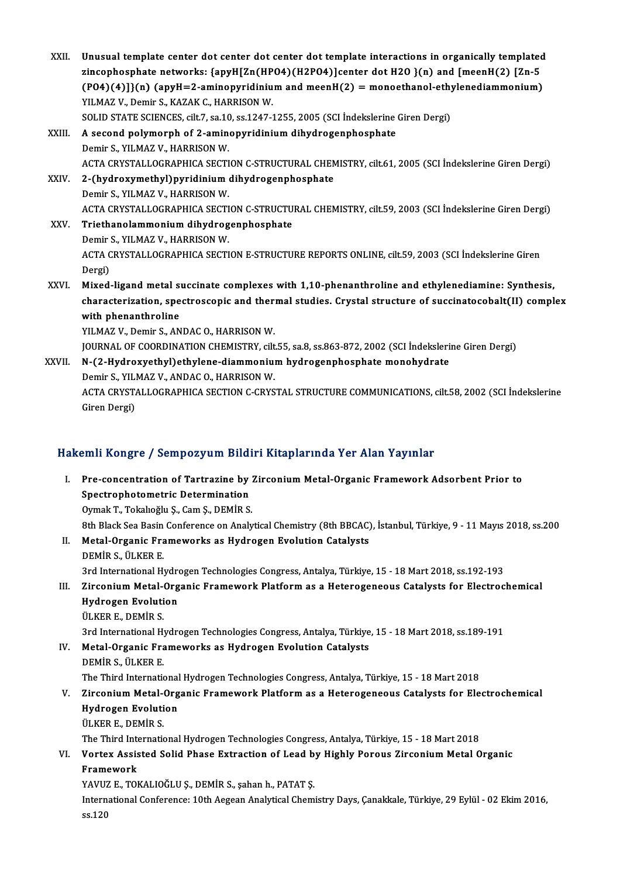XXII. Unusual template center dot center dot center dot template interactions in organically templated<br>Einconbombate networks: (anyWIZn(WDO4)(W2DO4)leenter det W2O )(n) and [meenW(2) [Zn 5] Unusual template center dot center dot center dot template interactions in organically templated<br>zincophosphate networks: {apyH[Zn(HPO4)(H2PO4)]center dot H2O }(n) and [meenH(2) [Zn-5<br>(PO4)(4)][(n) (anyH=2 aminonymidinium Unusual template center dot center dot center dot template interactions in organically templated<br>zincophosphate networks: {apyH[Zn(HPO4)(H2PO4)]center dot H2O }(n) and [meenH(2) [Zn-5<br>(PO4)(4)]}(n) (apyH=2-aminopyridinium zincophosphate networks: {apyH[Zn(HP<br>(PO4)(4)]}(n) (apyH=2-aminopyridiniu<br>YILMAZ V., Demir S., KAZAK C., HARRISON W.<br>SOLID STATE SCIENCES silt 7, 2010 SS 1247.2 (PO4)(4)]}(n) (apyH=2-aminopyridinium and meenH(2) = monoethanol-ethy<br>YILMAZ V., Demir S., KAZAK C., HARRISON W.<br>SOLID STATE SCIENCES, cilt.7, sa.10, ss.1247-1255, 2005 (SCI İndekslerine Giren Dergi) YILMAZ V., Demir S., KAZAK C., HARRISON W.<br>SOLID STATE SCIENCES, cilt.7, sa.10, ss.1247-1255, 2005 (SCI Indekslerine<br>XXIII. A second polymorph of 2-aminopyridinium dihydrogenphosphate<br>Demir S., YILMAZ V., HARRISON W. SOLID STATE SCIENCES, cilt.7, sa.10, ss.1247-1255, 2005 (SCI İndekslerine Giren Dergi) ACTA CRYSTALLOGRAPHICA SECTION C-STRUCTURAL CHEMISTRY, cilt.61, 2005 (SCI İndekslerine Giren Dergi) Demir S., YILMAZ V., HARRISON W.<br>ACTA CRYSTALLOGRAPHICA SECTION C-STRUCTURAL CHEN<br>XXIV. 2-(hydroxymethyl)pyridinium dihydrogenphosphate<br>Domir S. YU MAZ V. HAPPISON W. ACTA CRYSTALLOGRAPHICA SECTI<br>2-(hydroxymethyl)pyridinium<br>Demir S., YILMAZ V., HARRISON W.<br>ACTA CRYSTALLOGRAPHICA SECTI 2-(hydroxymethyl)pyridinium dihydrogenphosphate<br>Demir S., YILMAZ V., HARRISON W.<br>ACTA CRYSTALLOGRAPHICA SECTION C-STRUCTURAL CHEMISTRY, cilt.59, 2003 (SCI İndekslerine Giren Dergi)<br>Tristhanelammenium dihydrosennhosphate Demir S., YILMAZ V., HARRISON W.<br>ACTA CRYSTALLOGRAPHICA SECTION C-STRUCTU<br>XXV. Triethanolammonium dihydrogenphosphate<br>Demir S., YILMAZ V., HARRISON W. ACTA CRYSTALLOGRAPHICA SECTI<br>Triethanolammonium dihydrog<br>Demir S., YILMAZ V., HARRISON W.<br>ACTA CRYSTALLOCRARUICA SECTI Triethanolammonium dihydrogenphosphate<br>Demir S., YILMAZ V., HARRISON W.<br>ACTA CRYSTALLOGRAPHICA SECTION E-STRUCTURE REPORTS ONLINE, cilt.59, 2003 (SCI İndekslerine Giren<br>Dergi) Demir<br>ACTA C<br>Dergi)<br>Mived ACTA CRYSTALLOGRAPHICA SECTION E-STRUCTURE REPORTS ONLINE, cilt.59, 2003 (SCI Indekslerine Giren<br>Dergi)<br>XXVI. Mixed-ligand metal succinate complexes with 1,10-phenanthroline and ethylenediamine: Synthesis,<br>characterization Dergi)<br>Mixed-ligand metal succinate complexes with 1,10-phenanthroline and ethylenediamine: Synthesis,<br>characterization, spectroscopic and thermal studies. Crystal structure of succinatocobalt(II) complex<br>with phenanthroli Mixed-ligand metal s<br>characterization, spe<br>with phenanthroline<br><sup>VII M47 V.</sup> Demir S. AN characterization, spectroscopic and there<br>with phenanthroline<br>YILMAZ V., Demir S., ANDAC O., HARRISON W.<br>JOUPMAL OF COOPDINATION CHEMISTRY ail: with phenanthroline<br>YILMAZ V., Demir S., ANDAC O., HARRISON W.<br>JOURNAL OF COORDINATION CHEMISTRY, cilt.55, sa.8, ss.863-872, 2002 (SCI İndekslerine Giren Dergi)<br>N. (2. Hydnowysthyl) athylane, diammanium hydnogannhasınlata YILMAZ V., Demir S., ANDAC O., HARRISON W.<br>JOURNAL OF COORDINATION CHEMISTRY, cilt.55, sa.8, ss.863-872, 2002 (SCI İndeksleri<br>XXVII. N-(2-Hydroxyethyl)ethylene-diammonium hydrogenphosphate monohydrate<br>Demir S., YILMAZ V., JOURNAL OF COORDINATION CHEMISTRY, cilt<br>N-(2-Hydroxyethyl)ethylene-diammoniu<br>Demir S., YILMAZ V., ANDAC O., HARRISON W.<br>ACTA CRYSTALLOCRARHICA SECTION C CRYS N-(2-Hydroxyethyl)ethylene-diammonium hydrogenphosphate monohydrate<br>Demir S., YILMAZ V., ANDAC O., HARRISON W.<br>ACTA CRYSTALLOGRAPHICA SECTION C-CRYSTAL STRUCTURE COMMUNICATIONS, cilt.58, 2002 (SCI İndekslerine<br>Ciron Dergi) Demir S., YILl<br>ACTA CRYST/<br>Giren Dergi)

## Giren Dergi)<br>Hakemli Kongre / Sempozyum Bildiri Kitaplarında Yer Alan Yayınlar

I. Pre-concentration of Tartrazine by Zirconium Metal-Organic Framework Adsorbent Prior to Suite Rouge C / Sompozy am Brian<br>Pre-concentration of Tartrazine by<br>Spectrophotometric Determination<br>Oumek T. Teksheëh: S. Cam S. DEMID S. Pre-concentration of Tartrazine by :<br>Spectrophotometric Determination<br>Oymak T., Tokalıoğlu Ş., Cam Ş., DEMİR S.<br><sup>Oth Plack See Besin Conference on Analy</sub></sup> 0ymak T., Tokalıoğlu Ş., Cam Ş., DEMİR S.<br>8th Black Sea Basin Conference on Analytical Chemistry (8th BBCAC), İstanbul, Türkiye, 9 - 11 Mayıs 2018, ss.200 Oymak T., Tokalıoğlu Ş., Cam Ş., DEMİR S.<br>8th Black Sea Basin Conference on Analytical Chemistry (8th BBCAC)<br>II. Metal-Organic Frameworks as Hydrogen Evolution Catalysts<br>DEMİR S. ÜLKER E 8th Black Sea Basin<br>Metal-Organic Fra<br>DEMİR S., ÜLKER E.<br><sup>2nd Intornational H</sub>.</sup> DEMİR S., ÜLKER E.<br>3rd International Hydrogen Technologies Congress, Antalya, Türkiye, 15 - 18 Mart 2018, ss.192-193 DEMİR S., ÜLKER E.<br>3rd International Hydrogen Technologies Congress, Antalya, Türkiye, 15 - 18 Mart 2018, ss.192-193<br>III. Zirconium Metal-Organic Framework Platform as a Heterogeneous Catalysts for Electrochemical<br>Hydr 3rd International Hydro<br>Zirconium Metal-Org<br>Hydrogen Evolution<br><sup>Th VED E.</sup> DEMIP S Zirconium Metal-<br>Hydrogen Evoluti<br>ÜLKER E., DEMİR S.<br><sup>2rd Intornational H</sub></sup> Hydrogen Evolution<br>ÜLKER E., DEMİR S.<br>3rd International Hydrogen Technologies Congress, Antalya, Türkiye, 15 - 18 Mart 2018, ss.189-191<br>Metal Organia Eramowarks as Hydrogen Evolution Catalysts ULKER E., DEMIR S.<br>3rd International Hydrogen Technologies Congress, Antalya, Türkiye<br>IV. Metal-Organic Frameworks as Hydrogen Evolution Catalysts<br>DEMIR S. JU KER E 3rd International Hy<br>Metal-Organic Fra<br>DEMİR S., ÜLKER E.<br>The Third Internati IV. Metal-Organic Frameworks as Hydrogen Evolution Catalysts<br>DEMIR S., ÜLKER E.<br>The Third International Hydrogen Technologies Congress, Antalya, Türkiye, 15 - 18 Mart 2018 DEMIR S., ÜLKER E.<br>The Third International Hydrogen Technologies Congress, Antalya, Türkiye, 15 - 18 Mart 2018<br>V. Zirconium Metal-Organic Framework Platform as a Heterogeneous Catalysts for Electrochemical<br>Hydrogen Evo The Third International<br>Zirconium Metal-Org<br>Hydrogen Evolution<br><sup>Th VED E.</sup> DEMIP S Zirconium Metal-<br>Hydrogen Evoluti<br>ÜLKER E., DEMİR S.<br>The Third Internati Hydrogen Evolution<br>ÜLKER E., DEMİR S.<br>The Third International Hydrogen Technologies Congress, Antalya, Türkiye, 15 - 18 Mart 2018 ÜLKER E., DEMİR S.<br>The Third International Hydrogen Technologies Congress, Antalya, Türkiye, 15 - 18 Mart 2018<br>VI. Vortex Assisted Solid Phase Extraction of Lead by Highly Porous Zirconium Metal Organic<br>Framewark The Third Inte<br>Vortex Assis<br>Framework<br>VAVUZ E TO! Framework<br>YAVUZ E., TOKALIOĞLU Ş., DEMİR S., şahan h., PATAT Ş. Framework<br>YAVUZ E., TOKALIOĞLU Ş., DEMİR S., şahan h., PATAT Ş.<br>International Conference: 10th Aegean Analytical Chemistry Days, Çanakkale, Türkiye, 29 Eylül - 02 Ekim 2016, YAVUZ<br>Intern<br>ss.120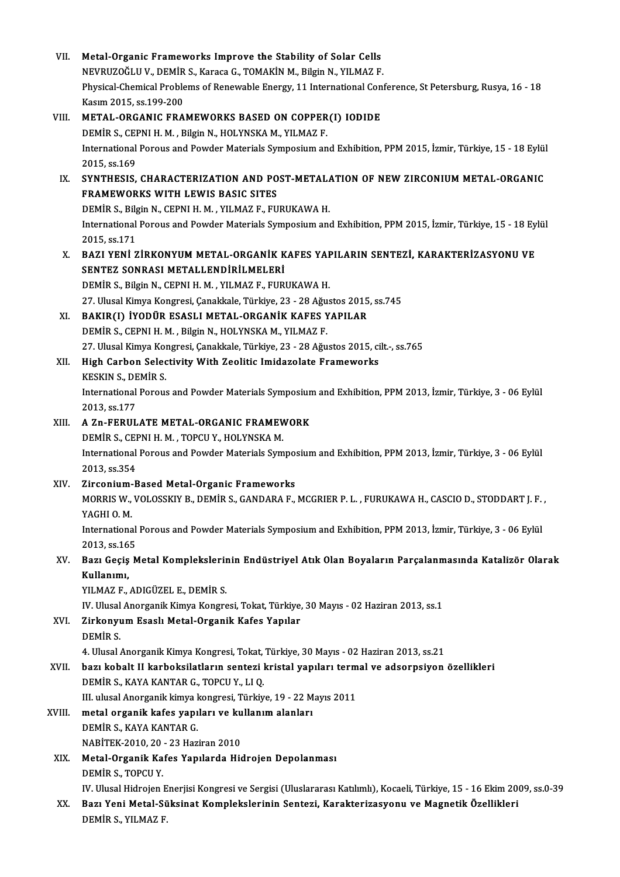| VII.   | Metal-Organic Frameworks Improve the Stability of Solar Cells                                                           |
|--------|-------------------------------------------------------------------------------------------------------------------------|
|        | NEVRUZOĞLU V., DEMİR S., Karaca G., TOMAKİN M., Bilgin N., YILMAZ F.                                                    |
|        | Physical-Chemical Problems of Renewable Energy, 11 International Conference, St Petersburg, Rusya, 16 - 18              |
|        | Kasım 2015, ss 199-200                                                                                                  |
| VIII.  | METAL-ORGANIC FRAMEWORKS BASED ON COPPER(I) IODIDE                                                                      |
|        | DEMİR S., CEPNI H. M., Bilgin N., HOLYNSKA M., YILMAZ F.                                                                |
|        | International Porous and Powder Materials Symposium and Exhibition, PPM 2015, İzmir, Türkiye, 15 - 18 Eylül             |
|        | 2015, ss 169                                                                                                            |
| IX.    | SYNTHESIS, CHARACTERIZATION AND POST-METALATION OF NEW ZIRCONIUM METAL-ORGANIC                                          |
|        | FRAMEWORKS WITH LEWIS BASIC SITES                                                                                       |
|        | DEMİR S., Bilgin N., CEPNI H. M., YILMAZ F., FURUKAWA H.                                                                |
|        | International Porous and Powder Materials Symposium and Exhibition, PPM 2015, İzmir, Türkiye, 15 - 18 Eylül             |
|        | 2015, ss 171                                                                                                            |
| Χ.     | BAZI YENİ ZİRKONYUM METAL-ORGANİK KAFES YAPILARIN SENTEZİ, KARAKTERİZASYONU VE                                          |
|        | SENTEZ SONRASI METALLENDİRİLMELERİ                                                                                      |
|        | DEMİR S., Bilgin N., CEPNI H. M., YILMAZ F., FURUKAWA H.                                                                |
|        | 27. Ulusal Kimya Kongresi, Çanakkale, Türkiye, 23 - 28 Ağustos 2015, ss.745                                             |
| XI.    | BAKIR(I) İYODÜR ESASLI METAL-ORGANİK KAFES YAPILAR                                                                      |
|        | DEMİR S., CEPNI H. M., Bilgin N., HOLYNSKA M., YILMAZ F.                                                                |
|        | 27. Ulusal Kimya Kongresi, Çanakkale, Türkiye, 23 - 28 Ağustos 2015, cilt.-, ss.765                                     |
| XII.   | High Carbon Selectivity With Zeolitic Imidazolate Frameworks                                                            |
|        | KESKIN S., DEMİR S.                                                                                                     |
|        | International Porous and Powder Materials Symposium and Exhibition, PPM 2013, İzmir, Türkiye, 3 - 06 Eylül              |
|        | 2013, ss 177                                                                                                            |
| XIII.  | A Zn-FERULATE METAL-ORGANIC FRAMEWORK                                                                                   |
|        | DEMIR S., CEPNI H. M., TOPCU Y., HOLYNSKA M.                                                                            |
|        | International Porous and Powder Materials Symposium and Exhibition, PPM 2013, İzmir, Türkiye, 3 - 06 Eylül              |
|        | 2013, ss 354                                                                                                            |
| XIV.   | Zirconium-Based Metal-Organic Frameworks                                                                                |
|        | MORRIS W., VOLOSSKIY B., DEMIR S., GANDARA F., MCGRIER P. L., FURUKAWA H., CASCIO D., STODDART J. F.,                   |
|        | YAGHI O.M.                                                                                                              |
|        | International Porous and Powder Materials Symposium and Exhibition, PPM 2013, İzmir, Türkiye, 3 - 06 Eylül              |
|        | 2013, ss 165                                                                                                            |
| XV.    | Bazı Geçiş Metal Komplekslerinin Endüstriyel Atık Olan Boyaların Parçalanmasında Katalizör Olarak                       |
|        | Kullanımı,                                                                                                              |
|        | YILMAZ F, ADIGÜZEL E, DEMİR S.                                                                                          |
|        | IV. Ulusal Anorganik Kimya Kongresi, Tokat, Türkiye, 30 Mayıs - 02 Haziran 2013, ss.1                                   |
| XVI.   | Zirkonyum Esaslı Metal-Organik Kafes Yapılar                                                                            |
|        | DEMIR S.                                                                                                                |
|        | 4. Ulusal Anorganik Kimya Kongresi, Tokat, Türkiye, 30 Mayıs - 02 Haziran 2013, ss.21                                   |
| XVII.  | bazı kobalt II karboksilatların sentezi kristal yapıları termal ve adsorpsiyon özellikleri                              |
|        | DEMIR S., KAYA KANTAR G., TOPCU Y., LI Q.                                                                               |
|        | III. ulusal Anorganik kimya kongresi, Türkiye, 19 - 22 Mayıs 2011                                                       |
| XVIII. | metal organik kafes yapıları ve kullanım alanları                                                                       |
|        | DEMIR S., KAYA KANTAR G.                                                                                                |
|        | NABİTEK-2010, 20 - 23 Haziran 2010                                                                                      |
| XIX.   | Metal-Organik Kafes Yapılarda Hidrojen Depolanması                                                                      |
|        | DEMIR S, TOPCU Y                                                                                                        |
|        | IV. Ulusal Hidrojen Enerjisi Kongresi ve Sergisi (Uluslararası Katılımlı), Kocaeli, Türkiye, 15 - 16 Ekim 2009, ss.0-39 |
| XX.    | Bazı Yeni Metal-Süksinat Komplekslerinin Sentezi, Karakterizasyonu ve Magnetik Özellikleri                              |
|        | DEMIR S., YILMAZ F.                                                                                                     |
|        |                                                                                                                         |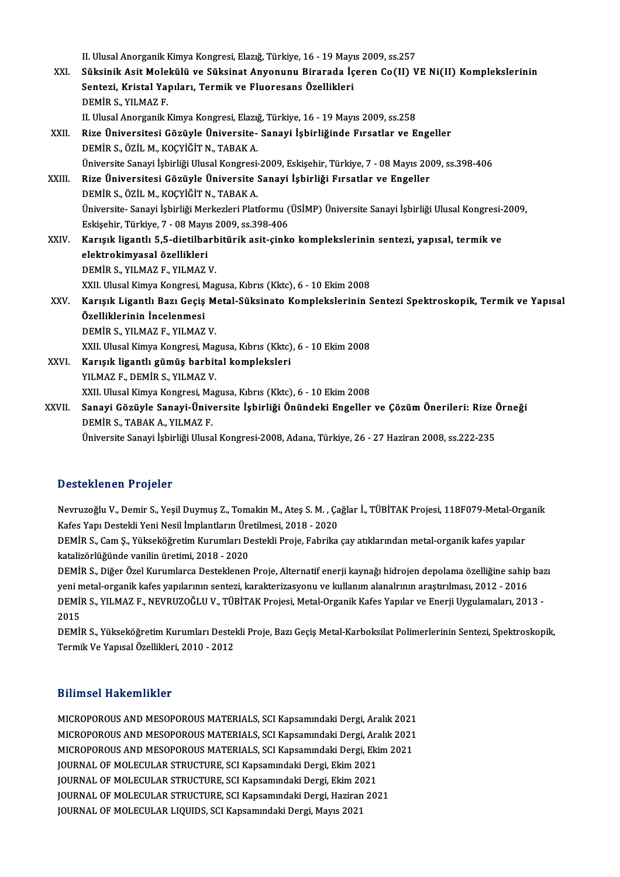II. Ulusal Anorganik Kimya Kongresi, Elazığ, Türkiye, 16 - 19 Mayıs 2009, ss.257

II. Ulusal Anorganik Kimya Kongresi, Elazığ, Türkiye, 16 - 19 Mayıs 2009, ss.257<br>XXI. Süksinik Asit Molekülü ve Süksinat Anyonunu Birarada İçeren Co(II) VE Ni(II) Komplekslerinin<br>Senteri, Kristal Yanıları, Termik ve El II. Ulusal Anorganik Kimya Kongresi, Elazığ, Türkiye, 16 - 19 Mayı<br>Süksinik Asit Molekülü ve Süksinat Anyonunu Birarada İç<br>Sentezi, Kristal Yapıları, Termik ve Fluoresans Özellikleri<br>DEMİR S. YU MAZ E Süksinik Asit Mole<br>Sentezi, Kristal Ya<sub>l</sub><br>DEMİR S., YILMAZ F.<br>H. Hlusal Anexsanik I Sentezi, Kristal Yapıları, Termik ve Fluoresans Özellikleri<br>DEMİR S., YILMAZ F.<br>II. Ulusal Anorganik Kimya Kongresi, Elazığ, Türkiye, 16 - 19 Mayıs 2009, ss.258 DEMİR S., YILMAZ F.<br>II. Ulusal Anorganik Kimya Kongresi, Elazığ, Türkiye, 16 - 19 Mayıs 2009, ss.258<br>XXII. Rize Üniversitesi Gözüyle Üniversite- Sanayi İşbirliğinde Fırsatlar ve Engeller<br> II. Ulusal Anorganik Kimya Kongresi, Elazığ<br>Rize Üniversitesi Gözüyle Üniversite-<br>DEMİR S., ÖZİL M., KOÇYİĞİT N., TABAK A.<br>Üniversite Sanavi İshirliği Ulusal Kongresi Rize Üniversitesi Gözüyle Üniversite- Sanayi İşbirliğinde Fırsatlar ve Engeller<br>DEMİR S., ÖZİL M., KOÇYİĞİT N., TABAK A.<br>Üniversite Sanayi İşbirliği Ulusal Kongresi-2009, Eskişehir, Türkiye, 7 - 08 Mayıs 2009, ss.398-406<br>B DEMİR S., ÖZİL M., KOÇYİĞİT N., TABAK A.<br>Üniversite Sanayi İşbirliği Ulusal Kongresi-2009, Eskişehir, Türkiye, 7 - 08 Mayıs 20<br>XXIII. Rize Üniversitesi Gözüyle Üniversite Sanayi İşbirliği Fırsatlar ve Engeller<br>DEMİR S. ÖZÜ Üniversite Sanayi İşbirliği Ulusal Kongresi-<br>Rize Üniversitesi Gözüyle Üniversite :<br>DEMİR S., ÖZİL M., KOÇYİĞİT N., TABAK A.<br>Üniversite, Sanayi İsbirliği Merkerleri Plati Rize Üniversitesi Gözüyle Üniversite Sanayi İşbirliği Fırsatlar ve Engeller<br>DEMİR S., ÖZİL M., KOÇYİĞİT N., TABAK A.<br>Üniversite- Sanayi İşbirliği Merkezleri Platformu (ÜSİMP) Üniversite Sanayi İşbirliği Ulusal Kongresi-200 DEMİR S., ÖZİL M., KOÇYİĞİT N., TABAK A.<br>Üniversite- Sanayi İşbirliği Merkezleri Platformu (<br>Eskişehir, Türkiye, 7 - 08 Mayıs 2009, ss.398-406<br>Kanısık Lizantlı E.E. diatilbanbitünik asit, sinki Üniversite- Sanayi İşbirliği Merkezleri Platformu (ÜSİMP) Üniversite Sanayi İşbirliği Ulusal Kongresi-<br>Eskişehir, Türkiye, 7 - 08 Mayıs 2009, ss.398-406<br>XXIV. Karışık ligantlı 5,5-dietilbarbitürik asit-çinko komplekslerini Eskişehir, Türkiye, 7 - 08 Mayı:<br>Karışık ligantlı 5,5-dietilba<br>elektrokimyasal özellikleri<br>DEMİP S. YU MAZ E. YU MAZ elektrokimyasal özellikleri<br>DEMİR S., YILMAZ F., YILMAZ V. elektrokimyasal özellikleri<br>DEMİR S., YILMAZ F., YILMAZ V.<br>XXII. Ulusal Kimya Kongresi, Magusa, Kıbrıs (Kktc), 6 - 10 Ekim 2008<br>Kanısık Ligantlı Barı Gesis Metal Süksinate Kamplekslepinin S DEMİR S., YILMAZ F., YILMAZ V.<br>XXII. Ulusal Kimya Kongresi, Magusa, Kıbrıs (Kktc), 6 - 10 Ekim 2008<br>XXV. Karışık Ligantlı Bazı Geçiş Metal-Süksinato Komplekslerinin Sentezi Spektroskopik, Termik ve Yapısal<br>Özelliklerin XXII. Ulusal Kimya Kongresi, N<br>Karışık Ligantlı Bazı Geçiş<br>Özelliklerinin İncelenmesi<br>DEMİR S. XII MAZ E. XII MAZ Karışık Ligantlı Bazı Geçiş M<br>Özelliklerinin İncelenmesi<br>DEMİR S., YILMAZ F., YILMAZ V.<br>YYIL Hlusel Kimus Kongresi Mas Özelliklerinin İncelenmesi<br>DEMİR S., YILMAZ F., YILMAZ V.<br>XXII. Ulusal Kimya Kongresi, Magusa, Kıbrıs (Kktc), 6 - 10 Ekim 2008<br>Konjak ligantlı gümüş barbital kompleksleri DEMİR S., YILMAZ F., YILMAZ V.<br>XXII. Ulusal Kimya Kongresi, Magusa, Kıbrıs (Kktc)<br>XXVI. Karışık ligantlı gümüş barbital kompleksleri<br>YILMAZ F., DEMİR S., YILMAZ V. XXII. Ulusal Kimya Kongresi, Mag<br><mark>Karışık ligantlı gümüş barbit</mark><br>YILMAZ F., DEMİR S., YILMAZ V.<br>YYIL Ulusal Kimya Kongresi Mag Karışık ligantlı gümüş barbital kompleksleri<br>YILMAZ F., DEMİR S., YILMAZ V.<br>XXII. Ulusal Kimya Kongresi, Magusa, Kıbrıs (Kktc), 6 - 10 Ekim 2008<br>Sanayi Görüyle Sanayi Üniyersite İsbirliği Önündeki Engeller YILMAZ F., DEMİR S., YILMAZ V.<br>XXII. Ulusal Kimya Kongresi, Magusa, Kıbrıs (Kktc), 6 - 10 Ekim 2008<br>XXVII. Sanayi Gözüyle Sanayi-Üniversite İşbirliği Önündeki Engeller ve Çözüm Önerileri: Rize Örneği<br>DEMİR S. TARAK A. XXII. Ulusal Kimya Kongresi, Ma<br><mark>Sanayi Gözüyle Sanayi-Üniv</mark><br>DEMİR S., TABAK A., YILMAZ F.<br>Üniversite Sanavi İsbirliği Ulusa Sanayi Gözüyle Sanayi-Üniversite İşbirliği Önündeki Engeller ve Çözüm Önerileri: Rize (<br>DEMİR S., TABAK A., YILMAZ F.<br>Üniversite Sanayi İşbirliği Ulusal Kongresi-2008, Adana, Türkiye, 26 - 27 Haziran 2008, ss.222-235

Üniversite Sanayi İşbirliği Ulusal Kongresi-2008, Adana, Türkiye, 26 - 27 Haziran 2008, ss.222-235<br>Desteklenen Projeler

Desteklenen Projeler<br>Nevruzoğlu V., Demir S., Yeşil Duymuş Z., Tomakin M., Ateş S. M. , Çağlar İ., TÜBİTAK Projesi, 118F079-Metal-Organik<br>Kafeş Yanı Destakli Yani Nesil İmplantların Ünstilmesi, 2019, 2020 B SSCSKISHSH I I I SJSISI<br>Nevruzoğlu V., Demir S., Yeşil Duymuş Z., Tomakin M., Ateş S. M. , Ça<br>Kafes Yapı Destekli Yeni Nesil İmplantların Üretilmesi, 2018 - 2020<br>DEMİR S. Com S. Vülveköğretim Kurumları Destekli Breis, Fe Nevruzoğlu V., Demir S., Yeşil Duymuş Z., Tomakin M., Ateş S. M. , Çağlar İ., TÜBİTAK Projesi, 118F079-Metal-Org<br>Kafes Yapı Destekli Yeni Nesil İmplantların Üretilmesi, 2018 - 2020<br>DEMİR S., Cam Ş., Yükseköğretim Kurumları

Kafes Yapı Destekli Yeni Nesil İmplantların Üretilmesi, 2018 - 2020<br>DEMİR S., Cam Ş., Yükseköğretim Kurumları Destekli Proje, Fabrika çay atıklarından metal-organik kafes yapılar<br>katalizörlüğünde vanilin üretimi, 2018 - 20 DEMİR S., Cam Ş., Yükseköğretim Kurumları Destekli Proje, Fabrika çay atıklarından metal-organik kafes yapılar<br>katalizörlüğünde vanilin üretimi, 2018 - 2020<br>DEMİR S., Diğer Özel Kurumlarca Desteklenen Proje, Alternatif ene

katalizörlüğünde vanilin üretimi, 2018 - 2020<br>DEMİR S., Diğer Özel Kurumlarca Desteklenen Proje, Alternatif enerji kaynağı hidrojen depolama özelliğine sahip<br>Yeni metal-organik kafes yapılarının sentezi, karakterizasyonu v DEMİR S., Diğer Özel Kurumlarca Desteklenen Proje, Alternatif enerji kaynağı hidrojen depolama özelliğine sahip baz<br>yeni metal-organik kafes yapılarının sentezi, karakterizasyonu ve kullanım alanalrının araştırılması, 2012 yeni metal-organik kafes yapılarının sentezi, karakterizasyonu ve kullanım alanalrının araştırılması, 2012 - 2016<br>DEMİR S., YILMAZ F., NEVRUZOĞLU V., TÜBİTAK Projesi, Metal-Organik Kafes Yapılar ve Enerji Uygulamaları, 201 DEMİR S., YILMAZ F., NEVRUZOĞLU V., TÜBİTAK Projesi, Metal-Organik Kafes Yapılar ve Enerji Uygulamaları, 2013 -<br>2015<br>DEMİR S., Yükseköğretim Kurumları Destekli Proje, Bazı Geçiş Metal-Karboksilat Polimerlerinin Sentezi, Sp

2015<br>DEMİR S., Yükseköğretim Kurumları Destel<br>Termik Ve Yapısal Özellikleri, 2010 - 2012 Termik Ve Yapısal Özellikleri, 2010 - 2012<br>Bilimsel-Hakemlikler

MICROPOROUS AND MESOPOROUS MATERIALS, SCI Kapsamındaki Dergi, Aralık 2021 MICROPOROUS AND MESOPOROUS MATERIALS, SCI Kapsamındaki Dergi, Aralık 2021<br>MICROPOROUS AND MESOPOROUS MATERIALS, SCI Kapsamındaki Dergi, Aralık 2021<br>MICROPOROUS AND MESOPOROUS MATERIALS, SCI Kapsamındaki Dergi, Flim 2021 MICROPOROUS AND MESOPOROUS MATERIALS, SCI Kapsamındaki Dergi, Aralık 2021<br>MICROPOROUS AND MESOPOROUS MATERIALS, SCI Kapsamındaki Dergi, Aralık 2021<br>MICROPOROUS AND MESOPOROUS MATERIALS, SCI Kapsamındaki Dergi, Ekim 2021<br>JO MICROPOROUS AND MESOPOROUS MATERIALS, SCI Kapsamındaki Dergi, Ara<br>MICROPOROUS AND MESOPOROUS MATERIALS, SCI Kapsamındaki Dergi, Eki<br>JOURNAL OF MOLECULAR STRUCTURE, SCI Kapsamındaki Dergi, Ekim 2021<br>JOURNAL OF MOLECULAR STR MICROPOROUS AND MESOPOROUS MATERIALS, SCI Kapsamındaki Dergi, Ekim 2021<br>JOURNAL OF MOLECULAR STRUCTURE, SCI Kapsamındaki Dergi, Ekim 2021<br>JOURNAL OF MOLECULAR STRUCTURE, SCI Kapsamındaki Dergi, Ekim 2021 JOURNAL OF MOLECULAR STRUCTURE, SCI Kapsamındaki Dergi, Haziran 2021 JOURNAL OF MOLECULAR LIQUIDS, SCI Kapsamındaki Dergi, Mayıs 2021